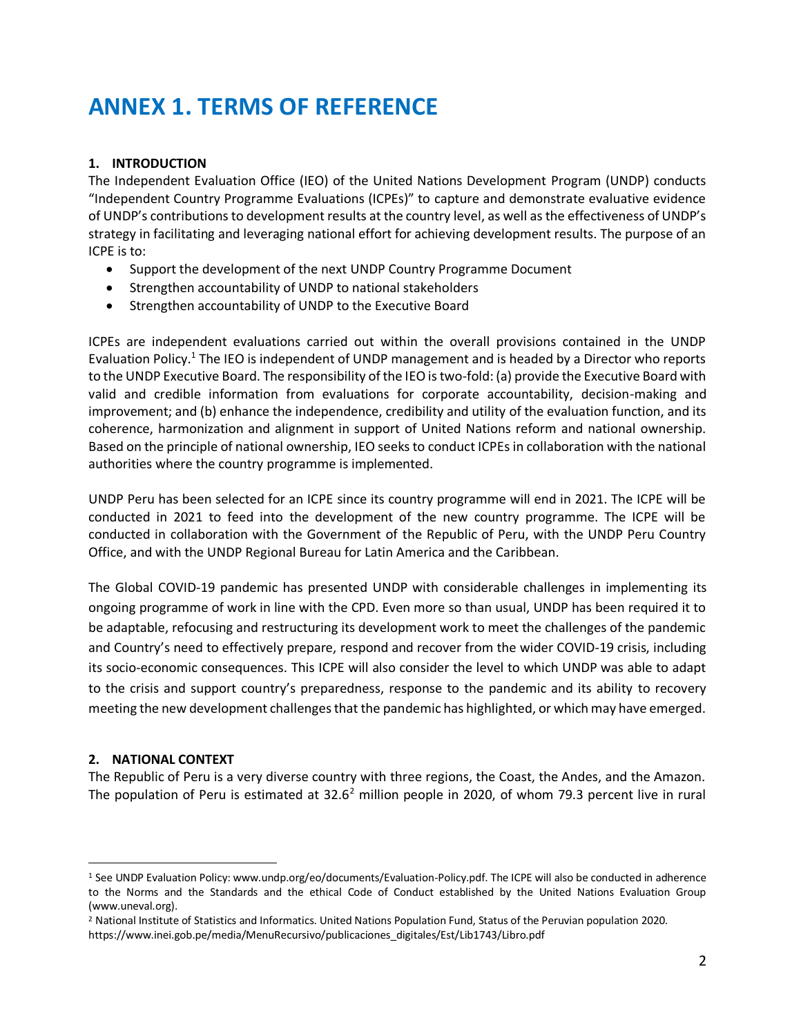# **ANNEX 1. TERMS OF REFERENCE**

### **1. INTRODUCTION**

The Independent Evaluation Office (IEO) of the United Nations Development Program (UNDP) conducts "Independent Country Programme Evaluations (ICPEs)" to capture and demonstrate evaluative evidence of UNDP's contributions to development results at the country level, as well as the effectiveness of UNDP's strategy in facilitating and leveraging national effort for achieving development results. The purpose of an ICPE is to:

- Support the development of the next UNDP Country Programme Document
- Strengthen accountability of UNDP to national stakeholders
- Strengthen accountability of UNDP to the Executive Board

ICPEs are independent evaluations carried out within the overall provisions contained in the UNDP Evaluation Policy.<sup>1</sup> The IEO is independent of UNDP management and is headed by a Director who reports to the UNDP Executive Board. The responsibility of the IEO is two-fold: (a) provide the Executive Board with valid and credible information from evaluations for corporate accountability, decision-making and improvement; and (b) enhance the independence, credibility and utility of the evaluation function, and its coherence, harmonization and alignment in support of United Nations reform and national ownership. Based on the principle of national ownership, IEO seeks to conduct ICPEs in collaboration with the national authorities where the country programme is implemented.

UNDP Peru has been selected for an ICPE since its country programme will end in 2021. The ICPE will be conducted in 2021 to feed into the development of the new country programme. The ICPE will be conducted in collaboration with the Government of the Republic of Peru, with the UNDP Peru Country Office, and with the UNDP Regional Bureau for Latin America and the Caribbean.

The Global COVID-19 pandemic has presented UNDP with considerable challenges in implementing its ongoing programme of work in line with the CPD. Even more so than usual, UNDP has been required it to be adaptable, refocusing and restructuring its development work to meet the challenges of the pandemic and Country's need to effectively prepare, respond and recover from the wider COVID-19 crisis, including its socio-economic consequences. This ICPE will also consider the level to which UNDP was able to adapt to the crisis and support country's preparedness, response to the pandemic and its ability to recovery meeting the new development challenges that the pandemic has highlighted, or which may have emerged.

#### **2. NATIONAL CONTEXT**

The Republic of Peru is a very diverse country with three regions, the Coast, the Andes, and the Amazon. The population of Peru is estimated at  $32.6^2$  million people in 2020, of whom 79.3 percent live in rural

<sup>1</sup> See UNDP Evaluation Policy: www.undp.org/eo/documents/Evaluation-Policy.pdf. The ICPE will also be conducted in adherence to the Norms and the Standards and the ethical Code of Conduct established by the United Nations Evaluation Group (www.uneval.org).

<sup>&</sup>lt;sup>2</sup> National Institute of Statistics and Informatics. United Nations Population Fund, Status of the Peruvian population 2020. https://www.inei.gob.pe/media/MenuRecursivo/publicaciones\_digitales/Est/Lib1743/Libro.pdf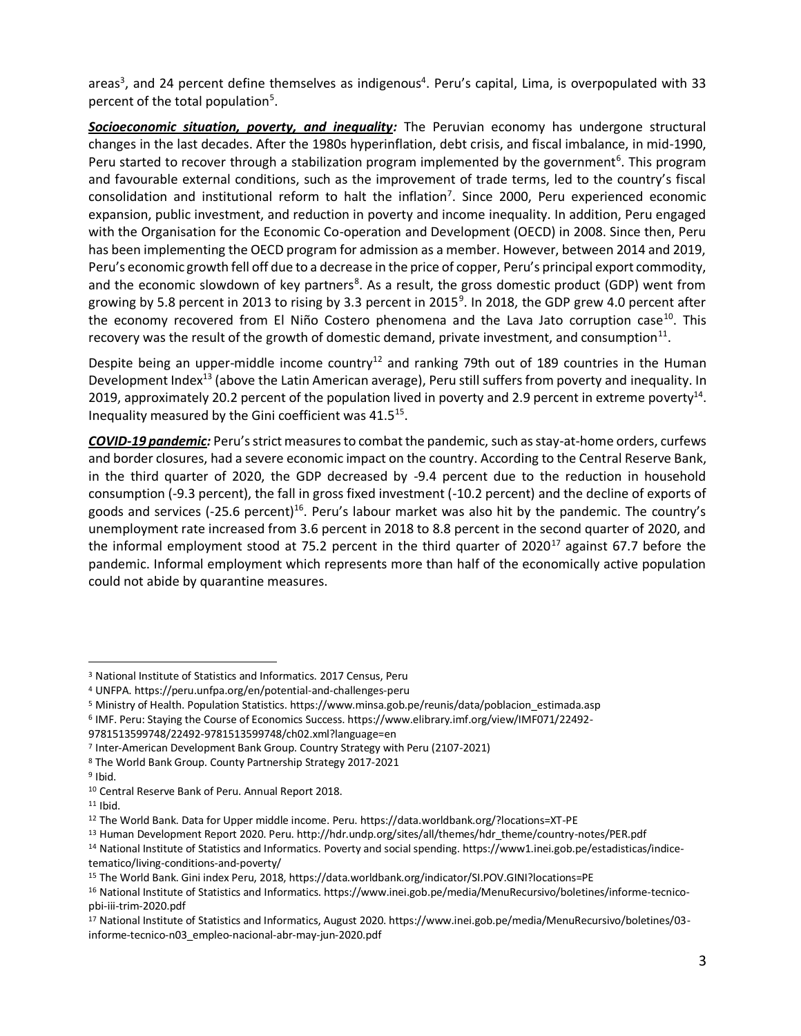areas<sup>3</sup>, and 24 percent define themselves as indigenous<sup>4</sup>. Peru's capital, Lima, is overpopulated with 33 percent of the total population<sup>5</sup>.

*Socioeconomic situation, poverty, and inequality:* The Peruvian economy has undergone structural changes in the last decades. After the 1980s hyperinflation, debt crisis, and fiscal imbalance, in mid-1990, Peru started to recover through a stabilization program implemented by the government<sup>6</sup>. This program and favourable external conditions, such as the improvement of trade terms, led to the country's fiscal consolidation and institutional reform to halt the inflation<sup>7</sup>. Since 2000, Peru experienced economic expansion, public investment, and reduction in poverty and income inequality. In addition, Peru engaged with the Organisation for the Economic Co-operation and Development (OECD) in 2008. Since then, Peru has been implementing the OECD program for admission as a member. However, between 2014 and 2019, Peru's economic growth fell off due to a decrease in the price of copper, Peru's principal export commodity, and the economic slowdown of key partners<sup>8</sup>. As a result, the gross domestic product (GDP) went from growing by 5.8 percent in 2013 to rising by 3.3 percent in 2015<sup>9</sup>. In 2018, the GDP grew 4.0 percent after the economy recovered from El Niño Costero phenomena and the Lava Jato corruption case<sup>10</sup>. This recovery was the result of the growth of domestic demand, private investment, and consumption<sup>11</sup>.

Despite being an upper-middle income country<sup>12</sup> and ranking 79th out of 189 countries in the Human Development Index<sup>13</sup> (above the Latin American average), Peru still suffers from poverty and inequality. In 2019, approximately 20.2 percent of the population lived in poverty and 2.9 percent in extreme poverty<sup>14</sup>. Inequality measured by the Gini coefficient was  $41.5^{15}$ .

*COVID-19 pandemic:* Peru's strict measures to combat the pandemic, such as stay-at-home orders, curfews and border closures, had a severe economic impact on the country. According to the Central Reserve Bank, in the third quarter of 2020, the GDP decreased by -9.4 percent due to the reduction in household consumption (-9.3 percent), the fall in gross fixed investment (-10.2 percent) and the decline of exports of goods and services (-25.6 percent)<sup>16</sup>. Peru's labour market was also hit by the pandemic. The country's unemployment rate increased from 3.6 percent in 2018 to 8.8 percent in the second quarter of 2020, and the informal employment stood at 75.2 percent in the third quarter of 2020<sup>17</sup> against 67.7 before the pandemic. Informal employment which represents more than half of the economically active population could not abide by quarantine measures.

6 IMF. Peru: Staying the Course of Economics Success. https://www.elibrary.imf.org/view/IMF071/22492-

<sup>14</sup> National Institute of Statistics and Informatics. Poverty and social spending. https://www1.inei.gob.pe/estadisticas/indicetematico/living-conditions-and-poverty/

<sup>3</sup> National Institute of Statistics and Informatics. 2017 Census, Peru

<sup>4</sup> UNFPA. https://peru.unfpa.org/en/potential-and-challenges-peru

<sup>5</sup> Ministry of Health. Population Statistics. https://www.minsa.gob.pe/reunis/data/poblacion\_estimada.asp

<sup>9781513599748/22492-9781513599748/</sup>ch02.xml?language=en

<sup>7</sup> Inter-American Development Bank Group. Country Strategy with Peru (2107-2021)

<sup>8</sup> The World Bank Group. County Partnership Strategy 2017-2021

<sup>&</sup>lt;sup>9</sup> Ibid.

<sup>10</sup> Central Reserve Bank of Peru. Annual Report 2018.

<sup>11</sup> Ibid.

<sup>12</sup> The World Bank. Data for Upper middle income. Peru. https://data.worldbank.org/?locations=XT-PE

<sup>13</sup> Human Development Report 2020. Peru. http://hdr.undp.org/sites/all/themes/hdr\_theme/country-notes/PER.pdf

<sup>15</sup> The World Bank. Gini index Peru, 2018, https://data.worldbank.org/indicator/SI.POV.GINI?locations=PE

<sup>16</sup> National Institute of Statistics and Informatics. https://www.inei.gob.pe/media/MenuRecursivo/boletines/informe-tecnicopbi-iii-trim-2020.pdf

<sup>17</sup> National Institute of Statistics and Informatics, August 2020. https://www.inei.gob.pe/media/MenuRecursivo/boletines/03 informe-tecnico-n03\_empleo-nacional-abr-may-jun-2020.pdf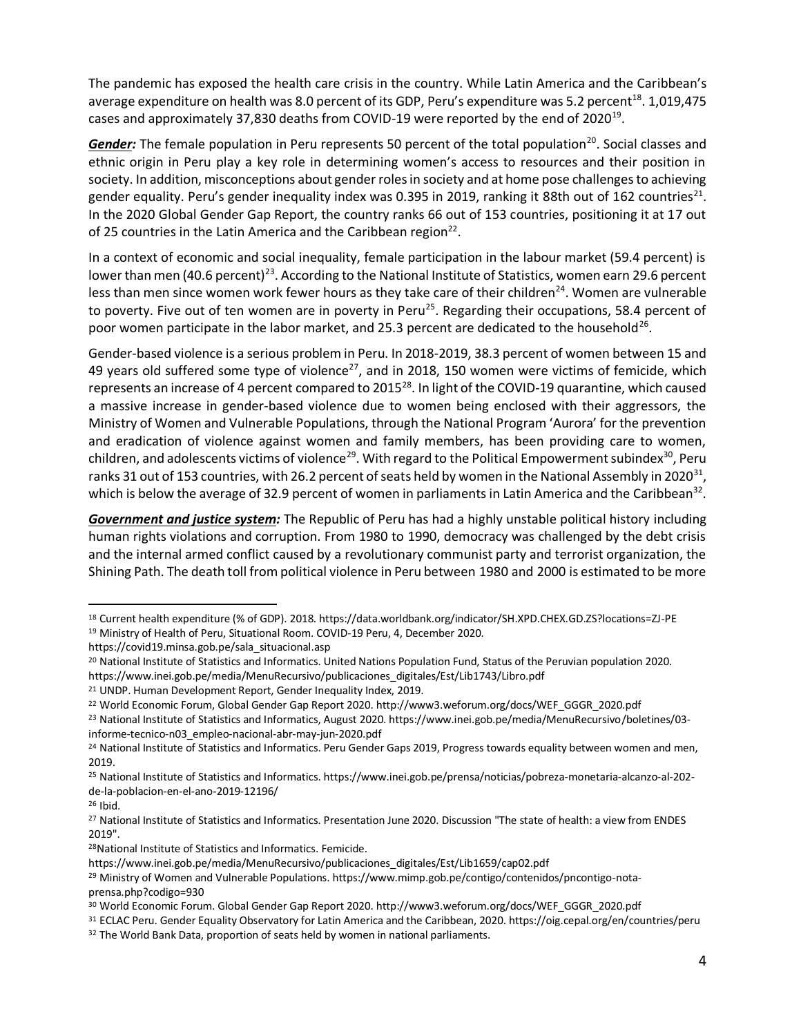The pandemic has exposed the health care crisis in the country. While Latin America and the Caribbean's average expenditure on health was 8.0 percent of its GDP, Peru's expenditure was 5.2 percent<sup>18</sup>. 1,019,475 cases and approximately 37,830 deaths from COVID-19 were reported by the end of 2020<sup>19</sup>.

Gender: The female population in Peru represents 50 percent of the total population<sup>20</sup>. Social classes and ethnic origin in Peru play a key role in determining women's access to resources and their position in society. In addition, misconceptions about gender roles in society and at home pose challenges to achieving gender equality. Peru's gender inequality index was 0.395 in 2019, ranking it 88th out of 162 countries<sup>21</sup>. In the 2020 Global Gender Gap Report, the country ranks 66 out of 153 countries, positioning it at 17 out of 25 countries in the Latin America and the Caribbean region<sup>22</sup>.

In a context of economic and social inequality, female participation in the labour market (59.4 percent) is lower than men (40.6 percent)<sup>23</sup>. According to the National Institute of Statistics, women earn 29.6 percent less than men since women work fewer hours as they take care of their children<sup>24</sup>. Women are vulnerable to poverty. Five out of ten women are in poverty in Peru<sup>25</sup>. Regarding their occupations, 58.4 percent of poor women participate in the labor market, and 25.3 percent are dedicated to the household<sup>26</sup>.

Gender-based violence is a serious problem in Peru. In 2018-2019, 38.3 percent of women between 15 and 49 years old suffered some type of violence<sup>27</sup>, and in 2018, 150 women were victims of femicide, which represents an increase of 4 percent compared to 2015<sup>28</sup>. In light of the COVID-19 quarantine, which caused a massive increase in gender-based violence due to women being enclosed with their aggressors, the Ministry of Women and Vulnerable Populations, through the National Program 'Aurora' for the prevention and eradication of violence against women and family members, has been providing care to women, children, and adolescents victims of violence<sup>29</sup>. With regard to the Political Empowerment subindex<sup>30</sup>, Peru ranks 31 out of 153 countries, with 26.2 percent of seats held by women in the National Assembly in 2020<sup>31</sup>, which is below the average of 32.9 percent of women in parliaments in Latin America and the Caribbean<sup>32</sup>.

*Government and justice system:* The Republic of Peru has had a highly unstable political history including human rights violations and corruption. From 1980 to 1990, democracy was challenged by the debt crisis and the internal armed conflict caused by a revolutionary communist party and terrorist organization, the Shining Path. The death toll from political violence in Peru between 1980 and 2000 is estimated to be more

<sup>18</sup> Current health expenditure (% of GDP). 2018. https://data.worldbank.org/indicator/SH.XPD.CHEX.GD.ZS?locations=ZJ-PE <sup>19</sup> Ministry of Health of Peru, Situational Room. COVID-19 Peru, 4, December 2020.

https://covid19.minsa.gob.pe/sala\_situacional.asp

<sup>20</sup> National Institute of Statistics and Informatics. United Nations Population Fund, Status of the Peruvian population 2020. https://www.inei.gob.pe/media/MenuRecursivo/publicaciones\_digitales/Est/Lib1743/Libro.pdf

<sup>21</sup> UNDP. Human Development Report, Gender Inequality Index, 2019.

<sup>22</sup> World Economic Forum, Global Gender Gap Report 2020. http://www3.weforum.org/docs/WEF\_GGGR\_2020.pdf

<sup>23</sup> National Institute of Statistics and Informatics, August 2020. https://www.inei.gob.pe/media/MenuRecursivo/boletines/03 informe-tecnico-n03\_empleo-nacional-abr-may-jun-2020.pdf

<sup>&</sup>lt;sup>24</sup> National Institute of Statistics and Informatics. Peru Gender Gaps 2019, Progress towards equality between women and men, 2019.

<sup>25</sup> National Institute of Statistics and Informatics. https://www.inei.gob.pe/prensa/noticias/pobreza-monetaria-alcanzo-al-202 de-la-poblacion-en-el-ano-2019-12196/

<sup>26</sup> Ibid.

<sup>27</sup> National Institute of Statistics and Informatics. Presentation June 2020. Discussion "The state of health: a view from ENDES 2019".

<sup>28</sup>National Institute of Statistics and Informatics. Femicide.

https://www.inei.gob.pe/media/MenuRecursivo/publicaciones\_digitales/Est/Lib1659/cap02.pdf

<sup>&</sup>lt;sup>29</sup> Ministry of Women and Vulnerable Populations. https://www.mimp.gob.pe/contigo/contenidos/pncontigo-notaprensa.php?codigo=930

<sup>30</sup> World Economic Forum. Global Gender Gap Report 2020. http://www3.weforum.org/docs/WEF\_GGGR\_2020.pdf

<sup>31</sup> ECLAC Peru. Gender Equality Observatory for Latin America and the Caribbean, 2020. https://oig.cepal.org/en/countries/peru

<sup>32</sup> The World Bank Data, proportion of seats held by women in national parliaments.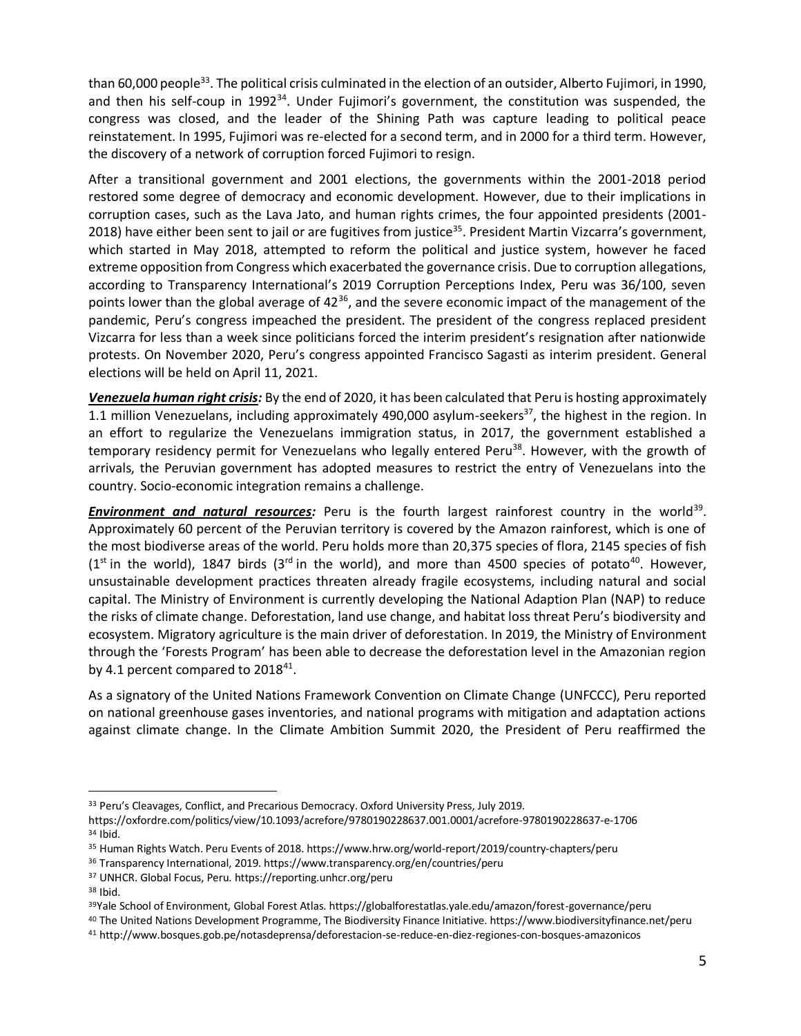than 60,000 people<sup>33</sup>. The political crisis culminated in the election of an outsider, Alberto Fujimori, in 1990, and then his self-coup in 1992<sup>34</sup>. Under Fujimori's government, the constitution was suspended, the congress was closed, and the leader of the Shining Path was capture leading to political peace reinstatement. In 1995, Fujimori was re-elected for a second term, and in 2000 for a third term. However, the discovery of a network of corruption forced Fujimori to resign.

After a transitional government and 2001 elections, the governments within the 2001-2018 period restored some degree of democracy and economic development. However, due to their implications in corruption cases, such as the Lava Jato, and human rights crimes, the four appointed presidents (2001- 2018) have either been sent to jail or are fugitives from justice<sup>35</sup>. President Martin Vizcarra's government, which started in May 2018, attempted to reform the political and justice system, however he faced extreme opposition from Congress which exacerbated the governance crisis. Due to corruption allegations, according to Transparency International's 2019 Corruption Perceptions Index, Peru was 36/100, seven points lower than the global average of  $42^{36}$ , and the severe economic impact of the management of the pandemic, Peru's congress impeached the president. The president of the congress replaced president Vizcarra for less than a week since politicians forced the interim president's resignation after nationwide protests. On November 2020, Peru's congress appointed Francisco Sagasti as interim president. General elections will be held on April 11, 2021.

*Venezuela human right crisis:* By the end of 2020, it has been calculated that Peru is hosting approximately 1.1 million Venezuelans, including approximately 490,000 asylum-seekers<sup>37</sup>, the highest in the region. In an effort to regularize the Venezuelans immigration status, in 2017, the government established a temporary residency permit for Venezuelans who legally entered Peru<sup>38</sup>. However, with the growth of arrivals, the Peruvian government has adopted measures to restrict the entry of Venezuelans into the country. Socio-economic integration remains a challenge.

**Environment and natural resources**: Peru is the fourth largest rainforest country in the world<sup>39</sup>. Approximately 60 percent of the Peruvian territory is covered by the Amazon rainforest, which is one of the most biodiverse areas of the world. Peru holds more than 20,375 species of flora, 2145 species of fish  $(1^{st}$  in the world), 1847 birds  $(3^{rd}$  in the world), and more than 4500 species of potato<sup>40</sup>. However, unsustainable development practices threaten already fragile ecosystems, including natural and social capital. The Ministry of Environment is currently developing the National Adaption Plan (NAP) to reduce the risks of climate change. Deforestation, land use change, and habitat loss threat Peru's biodiversity and ecosystem. Migratory agriculture is the main driver of deforestation. In 2019, the Ministry of Environment through the 'Forests Program' has been able to decrease the deforestation level in the Amazonian region by 4.1 percent compared to  $2018^{41}$ .

As a signatory of the United Nations Framework Convention on Climate Change (UNFCCC), Peru reported on national greenhouse gases inventories, and national programs with mitigation and adaptation actions against climate change. In the Climate Ambition Summit 2020, the President of Peru reaffirmed the

<sup>33</sup> Peru's Cleavages, Conflict, and Precarious Democracy. Oxford University Press, July 2019.

https://oxfordre.com/politics/view/10.1093/acrefore/9780190228637.001.0001/acrefore-9780190228637-e-1706 <sup>34</sup> Ibid.

<sup>35</sup> Human Rights Watch. Peru Events of 2018. https://www.hrw.org/world-report/2019/country-chapters/peru

<sup>36</sup> Transparency International, 2019. https://www.transparency.org/en/countries/peru

<sup>37</sup> UNHCR. Global Focus, Peru. https://reporting.unhcr.org/peru

<sup>38</sup> Ibid.

<sup>39</sup>Yale School of Environment, Global Forest Atlas. https://globalforestatlas.yale.edu/amazon/forest-governance/peru

<sup>40</sup> The United Nations Development Programme, The Biodiversity Finance Initiative. https://www.biodiversityfinance.net/peru

<sup>41</sup> http://www.bosques.gob.pe/notasdeprensa/deforestacion-se-reduce-en-diez-regiones-con-bosques-amazonicos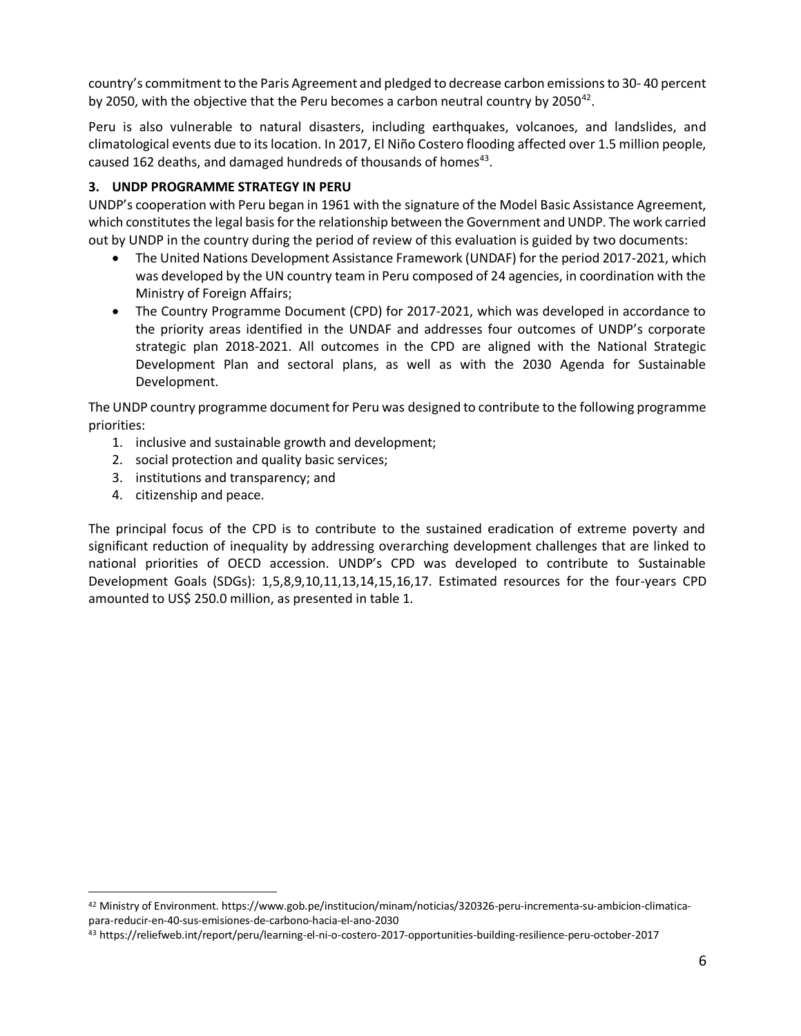country's commitment to the Paris Agreement and pledged to decrease carbon emissions to 30- 40 percent by 2050, with the objective that the Peru becomes a carbon neutral country by 2050<sup>42</sup>.

Peru is also vulnerable to natural disasters, including earthquakes, volcanoes, and landslides, and climatological events due to its location. In 2017, El Niño Costero flooding affected over 1.5 million people, caused 162 deaths, and damaged hundreds of thousands of homes<sup>43</sup>.

## **3. UNDP PROGRAMME STRATEGY IN PERU**

UNDP's cooperation with Peru began in 1961 with the signature of the Model Basic Assistance Agreement, which constitutes the legal basis for the relationship between the Government and UNDP. The work carried out by UNDP in the country during the period of review of this evaluation is guided by two documents:

- The United Nations Development Assistance Framework (UNDAF) for the period 2017-2021, which was developed by the UN country team in Peru composed of 24 agencies, in coordination with the Ministry of Foreign Affairs;
- The Country Programme Document (CPD) for 2017-2021, which was developed in accordance to the priority areas identified in the UNDAF and addresses four outcomes of UNDP's corporate strategic plan 2018-2021. All outcomes in the CPD are aligned with the National Strategic Development Plan and sectoral plans, as well as with the 2030 Agenda for Sustainable Development.

The UNDP country programme document for Peru was designed to contribute to the following programme priorities:

- 1. inclusive and sustainable growth and development;
- 2. social protection and quality basic services;
- 3. institutions and transparency; and
- 4. citizenship and peace.

The principal focus of the CPD is to contribute to the sustained eradication of extreme poverty and significant reduction of inequality by addressing overarching development challenges that are linked to national priorities of OECD accession. UNDP's CPD was developed to contribute to Sustainable Development Goals (SDGs): 1,5,8,9,10,11,13,14,15,16,17. Estimated resources for the four-years CPD amounted to US\$ 250.0 million, as presented in table 1.

<sup>42</sup> Ministry of Environment. https://www.gob.pe/institucion/minam/noticias/320326-peru-incrementa-su-ambicion-climaticapara-reducir-en-40-sus-emisiones-de-carbono-hacia-el-ano-2030

<sup>43</sup> https://reliefweb.int/report/peru/learning-el-ni-o-costero-2017-opportunities-building-resilience-peru-october-2017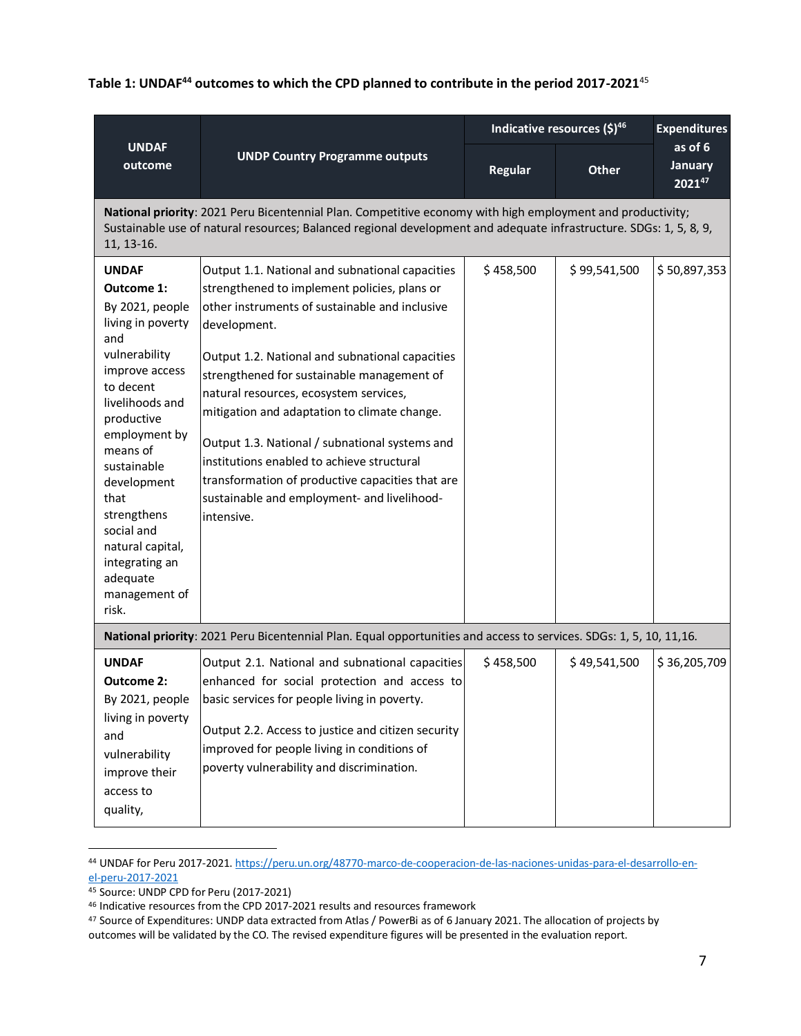**Table 1: UNDAF<sup>44</sup> outcomes to which the CPD planned to contribute in the period 2017-2021**<sup>45</sup>

| <b>UNDAF</b><br>outcome                                                                                                                                                                                                                                                                                                                       | <b>UNDP Country Programme outputs</b>                                                                                                                                                                                                                                                                                                                                                                                                                                                                                                                                         | Indicative resources (\$)46 |              | <b>Expenditures</b>                 |
|-----------------------------------------------------------------------------------------------------------------------------------------------------------------------------------------------------------------------------------------------------------------------------------------------------------------------------------------------|-------------------------------------------------------------------------------------------------------------------------------------------------------------------------------------------------------------------------------------------------------------------------------------------------------------------------------------------------------------------------------------------------------------------------------------------------------------------------------------------------------------------------------------------------------------------------------|-----------------------------|--------------|-------------------------------------|
|                                                                                                                                                                                                                                                                                                                                               |                                                                                                                                                                                                                                                                                                                                                                                                                                                                                                                                                                               | Regular                     | <b>Other</b> | as of 6<br><b>January</b><br>202147 |
| 11, 13-16.                                                                                                                                                                                                                                                                                                                                    | National priority: 2021 Peru Bicentennial Plan. Competitive economy with high employment and productivity;<br>Sustainable use of natural resources; Balanced regional development and adequate infrastructure. SDGs: 1, 5, 8, 9,                                                                                                                                                                                                                                                                                                                                              |                             |              |                                     |
| <b>UNDAF</b><br><b>Outcome 1:</b><br>By 2021, people<br>living in poverty<br>and<br>vulnerability<br>improve access<br>to decent<br>livelihoods and<br>productive<br>employment by<br>means of<br>sustainable<br>development<br>that<br>strengthens<br>social and<br>natural capital,<br>integrating an<br>adequate<br>management of<br>risk. | Output 1.1. National and subnational capacities<br>strengthened to implement policies, plans or<br>other instruments of sustainable and inclusive<br>development.<br>Output 1.2. National and subnational capacities<br>strengthened for sustainable management of<br>natural resources, ecosystem services,<br>mitigation and adaptation to climate change.<br>Output 1.3. National / subnational systems and<br>institutions enabled to achieve structural<br>transformation of productive capacities that are<br>sustainable and employment- and livelihood-<br>intensive. | \$458,500                   | \$99,541,500 | \$50,897,353                        |
| National priority: 2021 Peru Bicentennial Plan. Equal opportunities and access to services. SDGs: 1, 5, 10, 11,16.                                                                                                                                                                                                                            |                                                                                                                                                                                                                                                                                                                                                                                                                                                                                                                                                                               |                             |              |                                     |
| <b>UNDAF</b><br><b>Outcome 2:</b><br>By 2021, people<br>living in poverty<br>and<br>vulnerability<br>improve their<br>access to<br>quality,                                                                                                                                                                                                   | Output 2.1. National and subnational capacities<br>enhanced for social protection and access to<br>basic services for people living in poverty.<br>Output 2.2. Access to justice and citizen security<br>improved for people living in conditions of<br>poverty vulnerability and discrimination.                                                                                                                                                                                                                                                                             | \$458,500                   | \$49,541,500 | \$36,205,709                        |

<sup>44</sup> UNDAF for Peru 2017-2021[. https://peru.un.org/48770-marco-de-cooperacion-de-las-naciones-unidas-para-el-desarrollo-en](https://peru.un.org/48770-marco-de-cooperacion-de-las-naciones-unidas-para-el-desarrollo-en-el-peru-2017-2021)[el-peru-2017-2021](https://peru.un.org/48770-marco-de-cooperacion-de-las-naciones-unidas-para-el-desarrollo-en-el-peru-2017-2021)

<sup>45</sup> Source: UNDP CPD for Peru (2017-2021)

<sup>46</sup> Indicative resources from the CPD 2017-2021 results and resources framework

<sup>47</sup> Source of Expenditures: UNDP data extracted from Atlas / PowerBi as of 6 January 2021. The allocation of projects by outcomes will be validated by the CO. The revised expenditure figures will be presented in the evaluation report.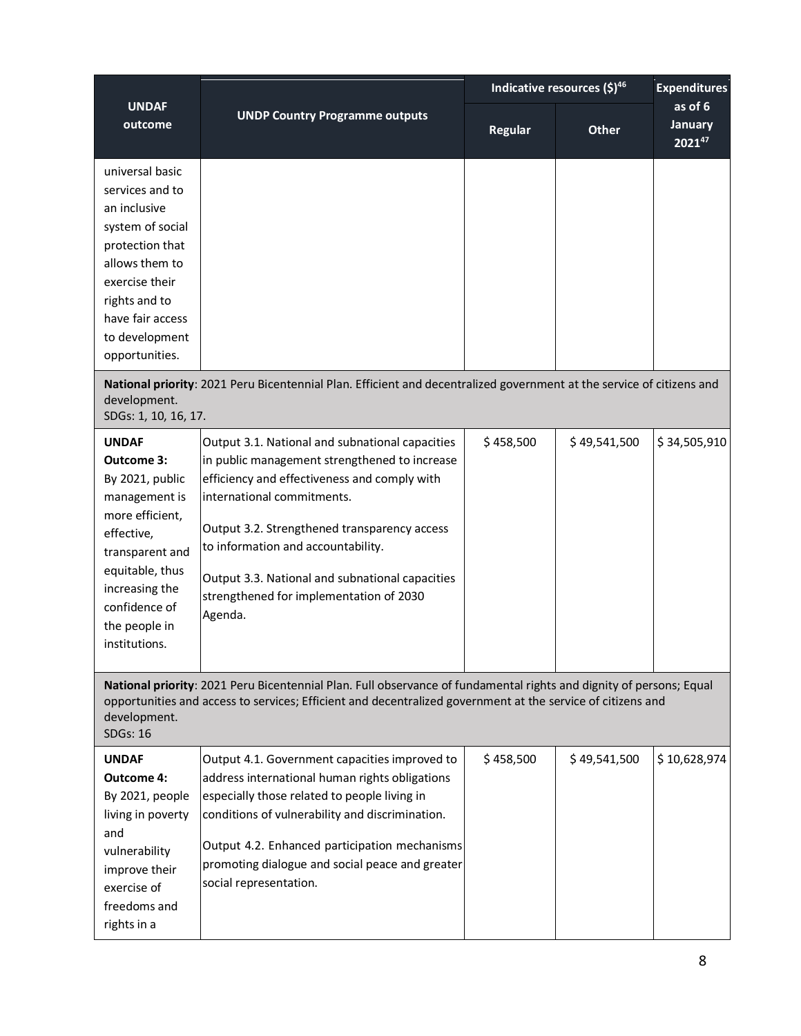|                                                                                                                                                                                                                                                                       |                                                                                                                                                                                                                                                                                                                                                                               | Indicative resources $(5)^{46}$ |                                     | <b>Expenditures</b> |
|-----------------------------------------------------------------------------------------------------------------------------------------------------------------------------------------------------------------------------------------------------------------------|-------------------------------------------------------------------------------------------------------------------------------------------------------------------------------------------------------------------------------------------------------------------------------------------------------------------------------------------------------------------------------|---------------------------------|-------------------------------------|---------------------|
| <b>UNDAF</b><br><b>UNDP Country Programme outputs</b><br>outcome                                                                                                                                                                                                      | <b>Regular</b>                                                                                                                                                                                                                                                                                                                                                                | <b>Other</b>                    | as of 6<br><b>January</b><br>202147 |                     |
| universal basic<br>services and to<br>an inclusive<br>system of social<br>protection that<br>allows them to<br>exercise their<br>rights and to<br>have fair access<br>to development<br>opportunities.                                                                |                                                                                                                                                                                                                                                                                                                                                                               |                                 |                                     |                     |
| National priority: 2021 Peru Bicentennial Plan. Efficient and decentralized government at the service of citizens and<br>development.<br>SDGs: 1, 10, 16, 17.                                                                                                         |                                                                                                                                                                                                                                                                                                                                                                               |                                 |                                     |                     |
| <b>UNDAF</b><br>Outcome 3:<br>By 2021, public<br>management is<br>more efficient,<br>effective,<br>transparent and<br>equitable, thus<br>increasing the<br>confidence of<br>the people in<br>institutions.                                                            | Output 3.1. National and subnational capacities<br>in public management strengthened to increase<br>efficiency and effectiveness and comply with<br>international commitments.<br>Output 3.2. Strengthened transparency access<br>to information and accountability.<br>Output 3.3. National and subnational capacities<br>strengthened for implementation of 2030<br>Agenda. | \$458,500                       | \$49,541,500                        | \$34,505,910        |
| National priority: 2021 Peru Bicentennial Plan. Full observance of fundamental rights and dignity of persons; Equal<br>opportunities and access to services; Efficient and decentralized government at the service of citizens and<br>development.<br><b>SDGs: 16</b> |                                                                                                                                                                                                                                                                                                                                                                               |                                 |                                     |                     |
| <b>UNDAF</b><br><b>Outcome 4:</b><br>By 2021, people<br>living in poverty<br>and<br>vulnerability<br>improve their<br>exercise of<br>freedoms and<br>rights in a                                                                                                      | Output 4.1. Government capacities improved to<br>address international human rights obligations<br>especially those related to people living in<br>conditions of vulnerability and discrimination.<br>Output 4.2. Enhanced participation mechanisms<br>promoting dialogue and social peace and greater<br>social representation.                                              | \$458,500                       | \$49,541,500                        | \$10,628,974        |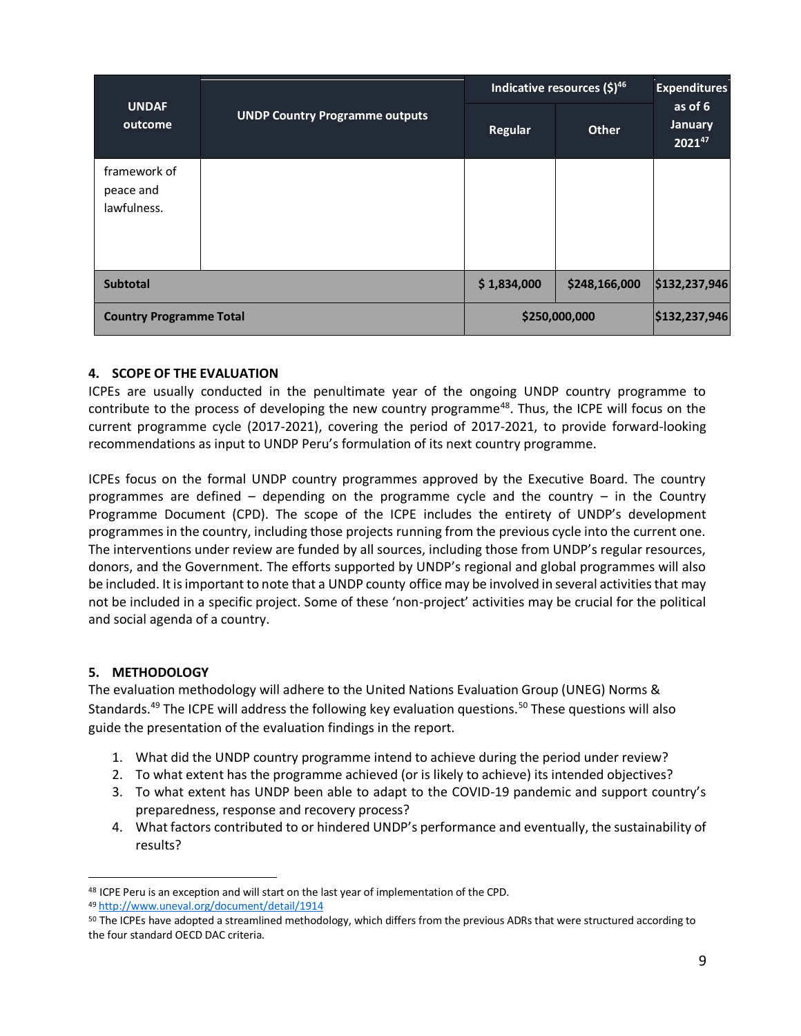| <b>UNDAF</b><br>outcome                  | <b>UNDP Country Programme outputs</b> | Indicative resources (\$)46 |               | <b>Expenditures</b>                      |
|------------------------------------------|---------------------------------------|-----------------------------|---------------|------------------------------------------|
|                                          |                                       | <b>Regular</b>              | <b>Other</b>  | as of 6<br><b>January</b><br>$2021^{47}$ |
| framework of<br>peace and<br>lawfulness. |                                       |                             |               |                                          |
| <b>Subtotal</b>                          |                                       | \$1,834,000                 | \$248,166,000 | \$132,237,946                            |
| <b>Country Programme Total</b>           |                                       | \$250,000,000               |               | \$132,237,946                            |

#### **4. SCOPE OF THE EVALUATION**

ICPEs are usually conducted in the penultimate year of the ongoing UNDP country programme to contribute to the process of developing the new country programme<sup>48</sup>. Thus, the ICPE will focus on the current programme cycle (2017-2021), covering the period of 2017-2021, to provide forward-looking recommendations as input to UNDP Peru's formulation of its next country programme.

ICPEs focus on the formal UNDP country programmes approved by the Executive Board. The country programmes are defined – depending on the programme cycle and the country – in the Country Programme Document (CPD). The scope of the ICPE includes the entirety of UNDP's development programmes in the country, including those projects running from the previous cycle into the current one. The interventions under review are funded by all sources, including those from UNDP's regular resources, donors, and the Government. The efforts supported by UNDP's regional and global programmes will also be included. It is important to note that a UNDP county office may be involved in several activities that may not be included in a specific project. Some of these 'non-project' activities may be crucial for the political and social agenda of a country.

## **5. METHODOLOGY**

The evaluation methodology will adhere to the United Nations Evaluation Group (UNEG) Norms & Standards.<sup>49</sup> The ICPE will address the following key evaluation questions.<sup>50</sup> These questions will also guide the presentation of the evaluation findings in the report.

- 1. What did the UNDP country programme intend to achieve during the period under review?
- 2. To what extent has the programme achieved (or is likely to achieve) its intended objectives?
- 3. To what extent has UNDP been able to adapt to the COVID-19 pandemic and support country's preparedness, response and recovery process?
- 4. What factors contributed to or hindered UNDP's performance and eventually, the sustainability of results?

<sup>48</sup> ICPE Peru is an exception and will start on the last year of implementation of the CPD.

<sup>49</sup> <http://www.uneval.org/document/detail/1914>

<sup>&</sup>lt;sup>50</sup> The ICPEs have adopted a streamlined methodology, which differs from the previous ADRs that were structured according to the four standard OECD DAC criteria.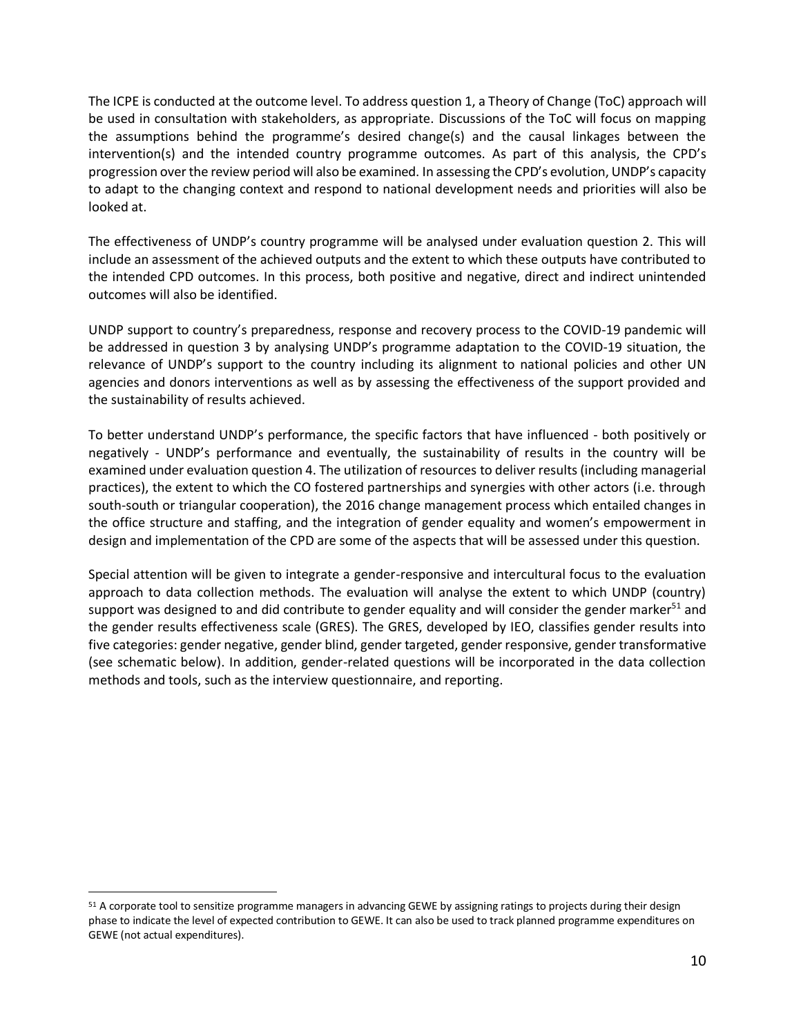The ICPE is conducted at the outcome level. To address question 1, a Theory of Change (ToC) approach will be used in consultation with stakeholders, as appropriate. Discussions of the ToC will focus on mapping the assumptions behind the programme's desired change(s) and the causal linkages between the intervention(s) and the intended country programme outcomes. As part of this analysis, the CPD's progression over the review period will also be examined. In assessing the CPD's evolution, UNDP's capacity to adapt to the changing context and respond to national development needs and priorities will also be looked at.

The effectiveness of UNDP's country programme will be analysed under evaluation question 2. This will include an assessment of the achieved outputs and the extent to which these outputs have contributed to the intended CPD outcomes. In this process, both positive and negative, direct and indirect unintended outcomes will also be identified.

UNDP support to country's preparedness, response and recovery process to the COVID-19 pandemic will be addressed in question 3 by analysing UNDP's programme adaptation to the COVID-19 situation, the relevance of UNDP's support to the country including its alignment to national policies and other UN agencies and donors interventions as well as by assessing the effectiveness of the support provided and the sustainability of results achieved.

To better understand UNDP's performance, the specific factors that have influenced - both positively or negatively - UNDP's performance and eventually, the sustainability of results in the country will be examined under evaluation question 4. The utilization of resources to deliver results (including managerial practices), the extent to which the CO fostered partnerships and synergies with other actors (i.e. through south-south or triangular cooperation), the 2016 change management process which entailed changes in the office structure and staffing, and the integration of gender equality and women's empowerment in design and implementation of the CPD are some of the aspects that will be assessed under this question.

Special attention will be given to integrate a gender-responsive and intercultural focus to the evaluation approach to data collection methods. The evaluation will analyse the extent to which UNDP (country) support was designed to and did contribute to gender equality and will consider the gender marker<sup>51</sup> and the gender results effectiveness scale (GRES). The GRES, developed by IEO, classifies gender results into five categories: gender negative, gender blind, gender targeted, gender responsive, gender transformative (see schematic below). In addition, gender-related questions will be incorporated in the data collection methods and tools, such as the interview questionnaire, and reporting.

<sup>51</sup> A corporate tool to sensitize programme managers in advancing GEWE by assigning ratings to projects during their design phase to indicate the level of expected contribution to GEWE. It can also be used to track planned programme expenditures on GEWE (not actual expenditures).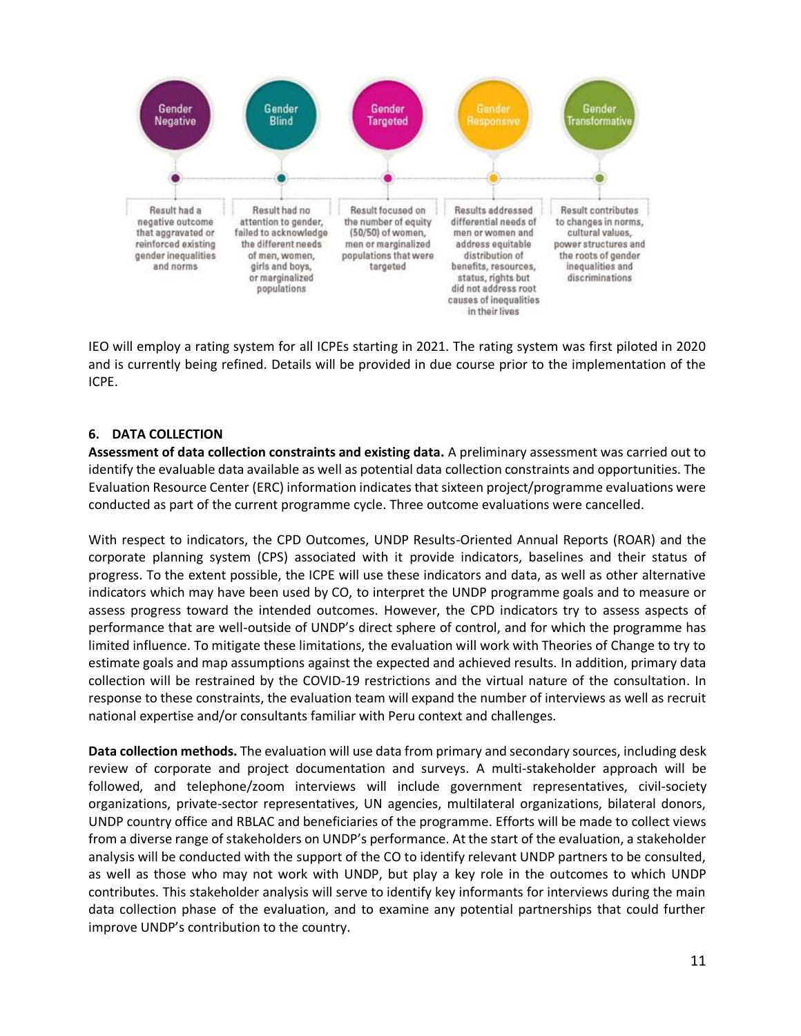

IEO will employ a rating system for all ICPEs starting in 2021. The rating system was first piloted in 2020 and is currently being refined. Details will be provided in due course prior to the implementation of the ICPE.

#### **6. DATA COLLECTION**

**Assessment of data collection constraints and existing data.** A preliminary assessment was carried out to identify the evaluable data available as well as potential data collection constraints and opportunities. The Evaluation Resource Center (ERC) information indicates that sixteen project/programme evaluations were conducted as part of the current programme cycle. Three outcome evaluations were cancelled.

With respect to indicators, the CPD Outcomes, UNDP Results-Oriented Annual Reports (ROAR) and the corporate planning system (CPS) associated with it provide indicators, baselines and their status of progress. To the extent possible, the ICPE will use these indicators and data, as well as other alternative indicators which may have been used by CO, to interpret the UNDP programme goals and to measure or assess progress toward the intended outcomes. However, the CPD indicators try to assess aspects of performance that are well-outside of UNDP's direct sphere of control, and for which the programme has limited influence. To mitigate these limitations, the evaluation will work with Theories of Change to try to estimate goals and map assumptions against the expected and achieved results. In addition, primary data collection will be restrained by the COVID-19 restrictions and the virtual nature of the consultation. In response to these constraints, the evaluation team will expand the number of interviews as well as recruit national expertise and/or consultants familiar with Peru context and challenges.

**Data collection methods.** The evaluation will use data from primary and secondary sources, including desk review of corporate and project documentation and surveys. A multi-stakeholder approach will be followed, and telephone/zoom interviews will include government representatives, civil-society organizations, private-sector representatives, UN agencies, multilateral organizations, bilateral donors, UNDP country office and RBLAC and beneficiaries of the programme. Efforts will be made to collect views from a diverse range of stakeholders on UNDP's performance. At the start of the evaluation, a stakeholder analysis will be conducted with the support of the CO to identify relevant UNDP partners to be consulted, as well as those who may not work with UNDP, but play a key role in the outcomes to which UNDP contributes. This stakeholder analysis will serve to identify key informants for interviews during the main data collection phase of the evaluation, and to examine any potential partnerships that could further improve UNDP's contribution to the country.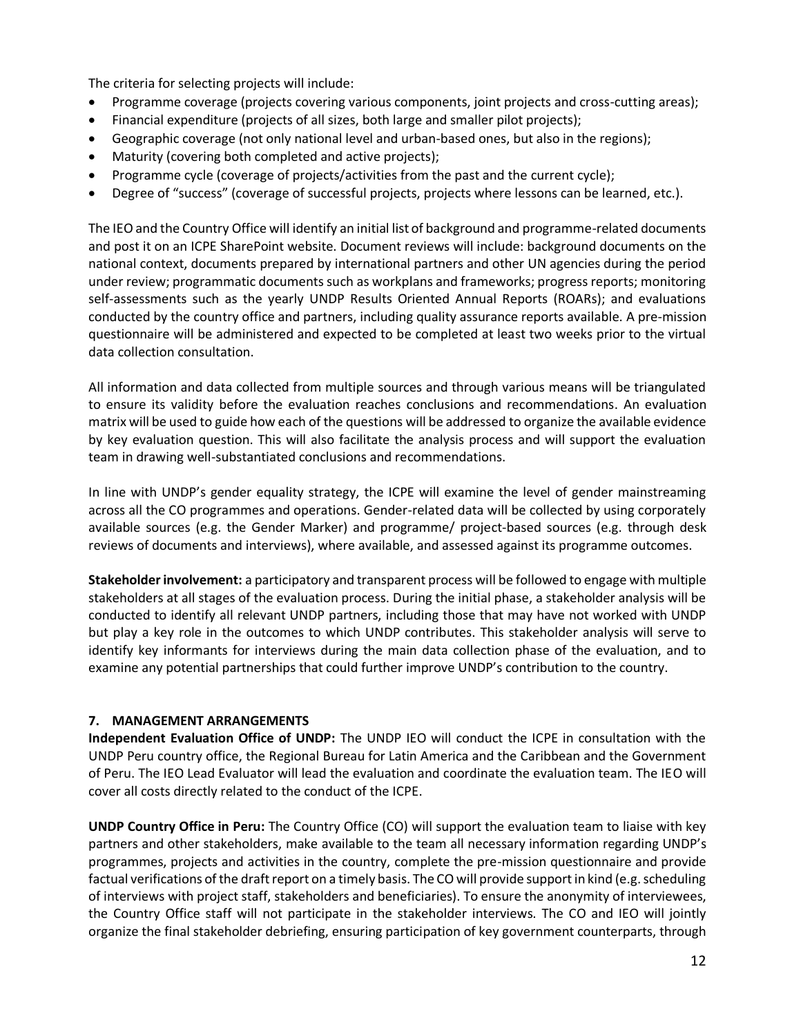The criteria for selecting projects will include:

- Programme coverage (projects covering various components, joint projects and cross-cutting areas);
- Financial expenditure (projects of all sizes, both large and smaller pilot projects);
- Geographic coverage (not only national level and urban-based ones, but also in the regions);
- Maturity (covering both completed and active projects);
- Programme cycle (coverage of projects/activities from the past and the current cycle);
- Degree of "success" (coverage of successful projects, projects where lessons can be learned, etc.).

The IEO and the Country Office will identify an initial list of background and programme-related documents and post it on an ICPE SharePoint website. Document reviews will include: background documents on the national context, documents prepared by international partners and other UN agencies during the period under review; programmatic documents such as workplans and frameworks; progress reports; monitoring self-assessments such as the yearly UNDP Results Oriented Annual Reports (ROARs); and evaluations conducted by the country office and partners, including quality assurance reports available. A pre-mission questionnaire will be administered and expected to be completed at least two weeks prior to the virtual data collection consultation.

All information and data collected from multiple sources and through various means will be triangulated to ensure its validity before the evaluation reaches conclusions and recommendations. An evaluation matrix will be used to guide how each of the questions will be addressed to organize the available evidence by key evaluation question. This will also facilitate the analysis process and will support the evaluation team in drawing well-substantiated conclusions and recommendations.

In line with UNDP's gender equality strategy, the ICPE will examine the level of gender mainstreaming across all the CO programmes and operations. Gender-related data will be collected by using corporately available sources (e.g. the Gender Marker) and programme/ project-based sources (e.g. through desk reviews of documents and interviews), where available, and assessed against its programme outcomes.

**Stakeholder involvement:** a participatory and transparent process will be followed to engage with multiple stakeholders at all stages of the evaluation process. During the initial phase, a stakeholder analysis will be conducted to identify all relevant UNDP partners, including those that may have not worked with UNDP but play a key role in the outcomes to which UNDP contributes. This stakeholder analysis will serve to identify key informants for interviews during the main data collection phase of the evaluation, and to examine any potential partnerships that could further improve UNDP's contribution to the country.

#### **7. MANAGEMENT ARRANGEMENTS**

**Independent Evaluation Office of UNDP:** The UNDP IEO will conduct the ICPE in consultation with the UNDP Peru country office, the Regional Bureau for Latin America and the Caribbean and the Government of Peru. The IEO Lead Evaluator will lead the evaluation and coordinate the evaluation team. The IEO will cover all costs directly related to the conduct of the ICPE.

**UNDP Country Office in Peru:** The Country Office (CO) will support the evaluation team to liaise with key partners and other stakeholders, make available to the team all necessary information regarding UNDP's programmes, projects and activities in the country, complete the pre-mission questionnaire and provide factual verifications of the draft report on a timely basis. The CO will provide support in kind (e.g. scheduling of interviews with project staff, stakeholders and beneficiaries). To ensure the anonymity of interviewees, the Country Office staff will not participate in the stakeholder interviews. The CO and IEO will jointly organize the final stakeholder debriefing, ensuring participation of key government counterparts, through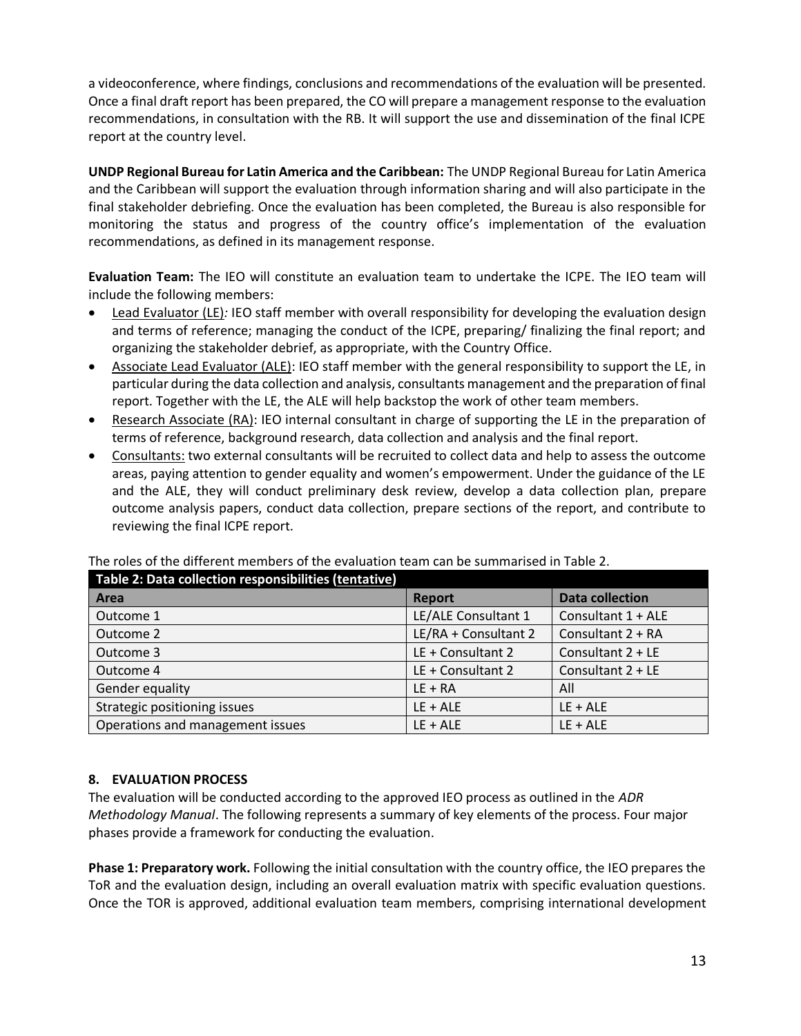a videoconference, where findings, conclusions and recommendations of the evaluation will be presented. Once a final draft report has been prepared, the CO will prepare a management response to the evaluation recommendations, in consultation with the RB. It will support the use and dissemination of the final ICPE report at the country level.

**UNDP Regional Bureau for Latin America and the Caribbean:** The UNDP Regional Bureau for Latin America and the Caribbean will support the evaluation through information sharing and will also participate in the final stakeholder debriefing. Once the evaluation has been completed, the Bureau is also responsible for monitoring the status and progress of the country office's implementation of the evaluation recommendations, as defined in its management response.

**Evaluation Team:** The IEO will constitute an evaluation team to undertake the ICPE. The IEO team will include the following members:

- Lead Evaluator (LE)*:* IEO staff member with overall responsibility for developing the evaluation design and terms of reference; managing the conduct of the ICPE, preparing/ finalizing the final report; and organizing the stakeholder debrief, as appropriate, with the Country Office.
- Associate Lead Evaluator (ALE): IEO staff member with the general responsibility to support the LE, in particular during the data collection and analysis, consultants management and the preparation of final report. Together with the LE, the ALE will help backstop the work of other team members.
- Research Associate (RA): IEO internal consultant in charge of supporting the LE in the preparation of terms of reference, background research, data collection and analysis and the final report.
- Consultants: two external consultants will be recruited to collect data and help to assess the outcome areas, paying attention to gender equality and women's empowerment. Under the guidance of the LE and the ALE, they will conduct preliminary desk review, develop a data collection plan, prepare outcome analysis papers, conduct data collection, prepare sections of the report, and contribute to reviewing the final ICPE report.

| Table 2: Data collection responsibilities (tentative) |                      |                        |  |
|-------------------------------------------------------|----------------------|------------------------|--|
| Area                                                  | Report               | <b>Data collection</b> |  |
| Outcome 1                                             | LE/ALE Consultant 1  | Consultant 1 + ALE     |  |
| Outcome 2                                             | LE/RA + Consultant 2 | Consultant 2 + RA      |  |
| Outcome 3                                             | LE + Consultant 2    | Consultant $2 + LE$    |  |
| Outcome 4                                             | LE + Consultant 2    | Consultant $2 + LE$    |  |
| Gender equality                                       | $LE + RA$            | All                    |  |
| Strategic positioning issues                          | $LE + ALE$           | $LE + ALE$             |  |
| Operations and management issues                      | $LE + ALE$           | $LE + ALE$             |  |

#### The roles of the different members of the evaluation team can be summarised in Table 2.

#### **8. EVALUATION PROCESS**

The evaluation will be conducted according to the approved IEO process as outlined in the *ADR Methodology Manual*. The following represents a summary of key elements of the process. Four major phases provide a framework for conducting the evaluation.

**Phase 1: Preparatory work.** Following the initial consultation with the country office, the IEO prepares the ToR and the evaluation design, including an overall evaluation matrix with specific evaluation questions. Once the TOR is approved, additional evaluation team members, comprising international development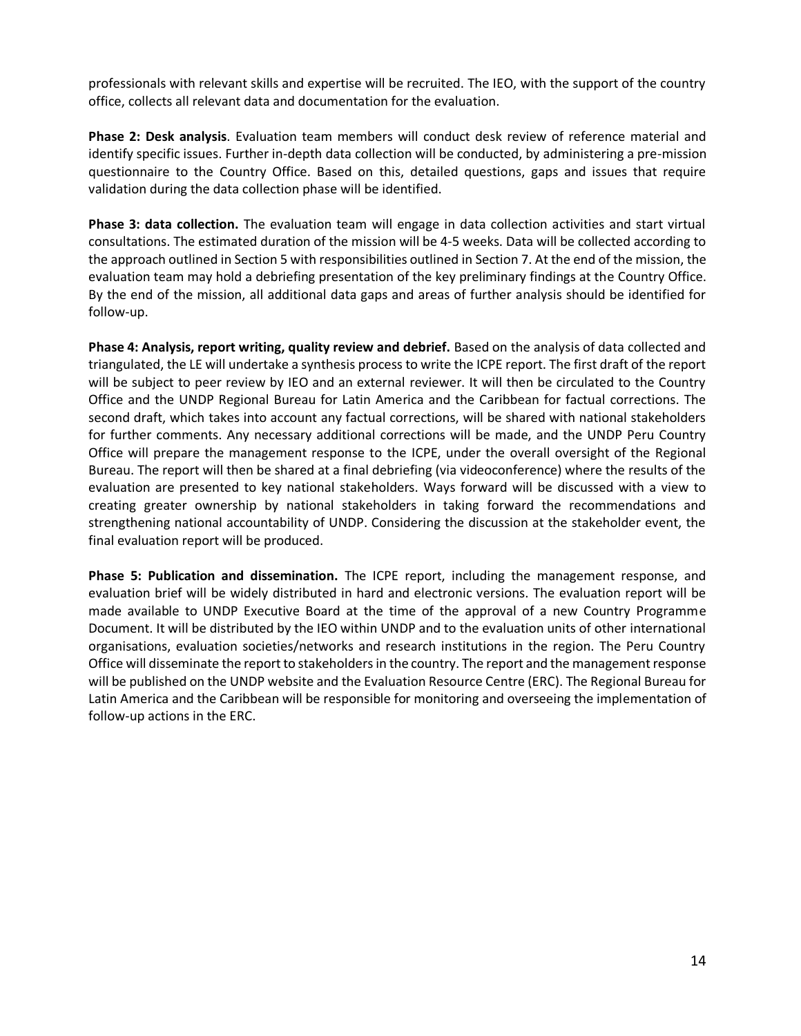professionals with relevant skills and expertise will be recruited. The IEO, with the support of the country office, collects all relevant data and documentation for the evaluation.

**Phase 2: Desk analysis**. Evaluation team members will conduct desk review of reference material and identify specific issues. Further in-depth data collection will be conducted, by administering a pre-mission questionnaire to the Country Office. Based on this, detailed questions, gaps and issues that require validation during the data collection phase will be identified.

**Phase 3: data collection.** The evaluation team will engage in data collection activities and start virtual consultations. The estimated duration of the mission will be 4-5 weeks. Data will be collected according to the approach outlined in Section 5 with responsibilities outlined in Section 7. At the end of the mission, the evaluation team may hold a debriefing presentation of the key preliminary findings at the Country Office. By the end of the mission, all additional data gaps and areas of further analysis should be identified for follow-up.

**Phase 4: Analysis, report writing, quality review and debrief.** Based on the analysis of data collected and triangulated, the LE will undertake a synthesis process to write the ICPE report. The first draft of the report will be subject to peer review by IEO and an external reviewer. It will then be circulated to the Country Office and the UNDP Regional Bureau for Latin America and the Caribbean for factual corrections. The second draft, which takes into account any factual corrections, will be shared with national stakeholders for further comments. Any necessary additional corrections will be made, and the UNDP Peru Country Office will prepare the management response to the ICPE, under the overall oversight of the Regional Bureau. The report will then be shared at a final debriefing (via videoconference) where the results of the evaluation are presented to key national stakeholders. Ways forward will be discussed with a view to creating greater ownership by national stakeholders in taking forward the recommendations and strengthening national accountability of UNDP. Considering the discussion at the stakeholder event, the final evaluation report will be produced.

**Phase 5: Publication and dissemination.** The ICPE report, including the management response, and evaluation brief will be widely distributed in hard and electronic versions. The evaluation report will be made available to UNDP Executive Board at the time of the approval of a new Country Programme Document. It will be distributed by the IEO within UNDP and to the evaluation units of other international organisations, evaluation societies/networks and research institutions in the region. The Peru Country Office will disseminate the report to stakeholders in the country. The report and the management response will be published on the UNDP website and the Evaluation Resource Centre (ERC). The Regional Bureau for Latin America and the Caribbean will be responsible for monitoring and overseeing the implementation of follow-up actions in the ERC.